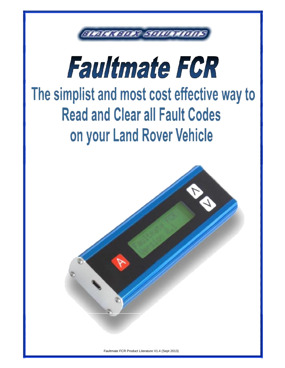